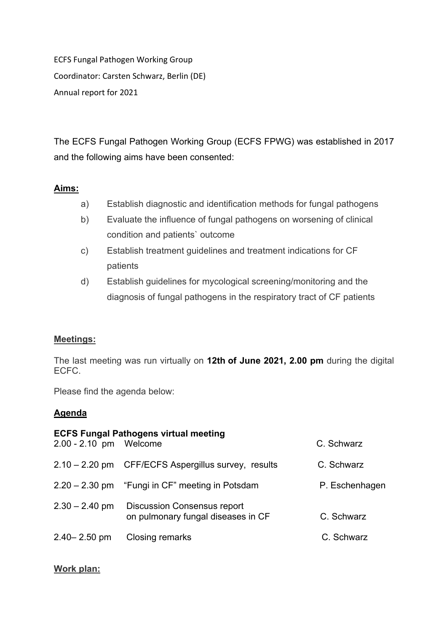ECFS Fungal Pathogen Working Group Coordinator: Carsten Schwarz, Berlin (DE) Annual report for 2021

The ECFS Fungal Pathogen Working Group (ECFS FPWG) was established in 2017 and the following aims have been consented:

#### **Aims:**

- a) Establish diagnostic and identification methods for fungal pathogens
- b) Evaluate the influence of fungal pathogens on worsening of clinical condition and patients` outcome
- c) Establish treatment guidelines and treatment indications for CF patients
- d) Establish guidelines for mycological screening/monitoring and the diagnosis of fungal pathogens in the respiratory tract of CF patients

#### **Meetings:**

The last meeting was run virtually on **12th of June 2021, 2.00 pm** during the digital ECFC.

Please find the agenda below:

# **Agenda**

| 2.00 - 2.10 pm Welcome | <b>ECFS Fungal Pathogens virtual meeting</b>                             | C. Schwarz     |
|------------------------|--------------------------------------------------------------------------|----------------|
|                        |                                                                          |                |
|                        | 2.10 - 2.20 pm CFF/ECFS Aspergillus survey, results                      | C. Schwarz     |
|                        | $2.20 - 2.30$ pm "Fungi in CF" meeting in Potsdam                        | P. Eschenhagen |
| $2.30 - 2.40$ pm       | <b>Discussion Consensus report</b><br>on pulmonary fungal diseases in CF | C. Schwarz     |
| $2.40 - 2.50$ pm       | Closing remarks                                                          | C. Schwarz     |

# **Work plan:**